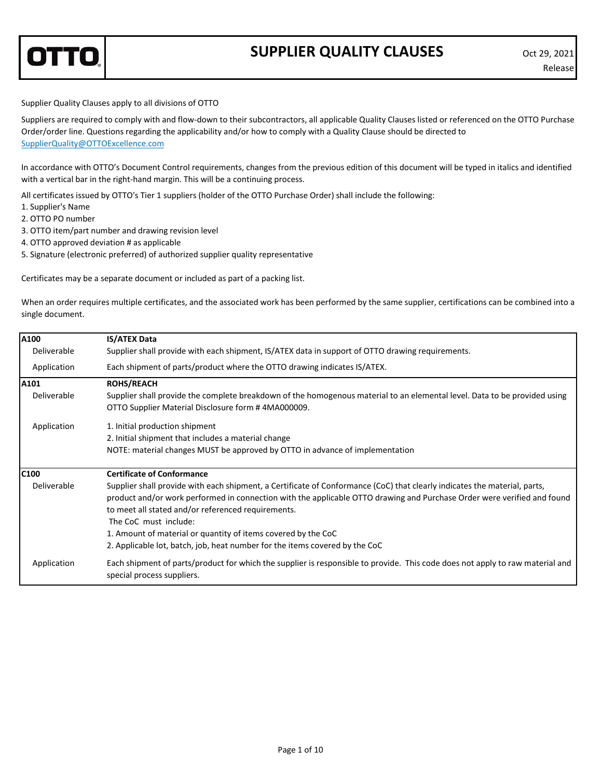

## **SUPPLIER QUALITY CLAUSES** Oct 29, 2021

Supplier Quality Clauses apply to all divisions of OTTO

Suppliers are required to comply with and flow‐down to their subcontractors, all applicable Quality Clauses listed or referenced on the OTTO Purchase Order/order line. Questions regarding the applicability and/or how to comply with a Quality Clause should be directed to SupplierQuality@OTTOExcellence.com

In accordance with OTTO's Document Control requirements, changes from the previous edition of this document will be typed in italics and identified with a vertical bar in the right-hand margin. This will be a continuing process.

All certificates issued by OTTO's Tier 1 suppliers (holder of the OTTO Purchase Order) shall include the following:

- 1. Supplier's Name
- 2. OTTO PO number
- 3. OTTO item/part number and drawing revision level
- 4. OTTO approved deviation # as applicable
- 5. Signature (electronic preferred) of authorized supplier quality representative

Certificates may be a separate document or included as part of a packing list.

When an order requires multiple certificates, and the associated work has been performed by the same supplier, certifications can be combined into a single document.

| A100        | <b>IS/ATEX Data</b>                                                                                                                                                                                                                                                                                                                                                                                                                                                                 |
|-------------|-------------------------------------------------------------------------------------------------------------------------------------------------------------------------------------------------------------------------------------------------------------------------------------------------------------------------------------------------------------------------------------------------------------------------------------------------------------------------------------|
| Deliverable | Supplier shall provide with each shipment, IS/ATEX data in support of OTTO drawing requirements.                                                                                                                                                                                                                                                                                                                                                                                    |
| Application | Each shipment of parts/product where the OTTO drawing indicates IS/ATEX.                                                                                                                                                                                                                                                                                                                                                                                                            |
| A101        | <b>ROHS/REACH</b>                                                                                                                                                                                                                                                                                                                                                                                                                                                                   |
| Deliverable | Supplier shall provide the complete breakdown of the homogenous material to an elemental level. Data to be provided using<br>OTTO Supplier Material Disclosure form #4MA000009.                                                                                                                                                                                                                                                                                                     |
| Application | 1. Initial production shipment                                                                                                                                                                                                                                                                                                                                                                                                                                                      |
|             | 2. Initial shipment that includes a material change                                                                                                                                                                                                                                                                                                                                                                                                                                 |
|             | NOTE: material changes MUST be approved by OTTO in advance of implementation                                                                                                                                                                                                                                                                                                                                                                                                        |
| C100        | <b>Certificate of Conformance</b>                                                                                                                                                                                                                                                                                                                                                                                                                                                   |
| Deliverable | Supplier shall provide with each shipment, a Certificate of Conformance (CoC) that clearly indicates the material, parts,<br>product and/or work performed in connection with the applicable OTTO drawing and Purchase Order were verified and found<br>to meet all stated and/or referenced requirements.<br>The CoC must include:<br>1. Amount of material or quantity of items covered by the CoC<br>2. Applicable lot, batch, job, heat number for the items covered by the CoC |
|             |                                                                                                                                                                                                                                                                                                                                                                                                                                                                                     |
| Application | Each shipment of parts/product for which the supplier is responsible to provide. This code does not apply to raw material and<br>special process suppliers.                                                                                                                                                                                                                                                                                                                         |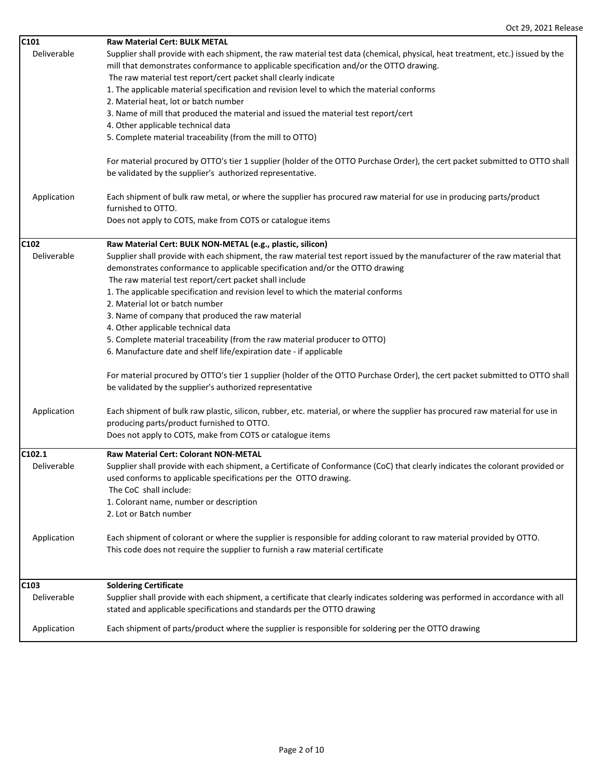| C101             | <b>Raw Material Cert: BULK METAL</b>                                                                                           |
|------------------|--------------------------------------------------------------------------------------------------------------------------------|
| Deliverable      | Supplier shall provide with each shipment, the raw material test data (chemical, physical, heat treatment, etc.) issued by the |
|                  | mill that demonstrates conformance to applicable specification and/or the OTTO drawing.                                        |
|                  | The raw material test report/cert packet shall clearly indicate                                                                |
|                  | 1. The applicable material specification and revision level to which the material conforms                                     |
|                  | 2. Material heat, lot or batch number                                                                                          |
|                  | 3. Name of mill that produced the material and issued the material test report/cert                                            |
|                  | 4. Other applicable technical data                                                                                             |
|                  | 5. Complete material traceability (from the mill to OTTO)                                                                      |
|                  |                                                                                                                                |
|                  | For material procured by OTTO's tier 1 supplier (holder of the OTTO Purchase Order), the cert packet submitted to OTTO shall   |
|                  | be validated by the supplier's authorized representative.                                                                      |
|                  |                                                                                                                                |
| Application      | Each shipment of bulk raw metal, or where the supplier has procured raw material for use in producing parts/product            |
|                  | furnished to OTTO.                                                                                                             |
|                  | Does not apply to COTS, make from COTS or catalogue items                                                                      |
|                  |                                                                                                                                |
| C <sub>102</sub> | Raw Material Cert: BULK NON-METAL (e.g., plastic, silicon)                                                                     |
| Deliverable      | Supplier shall provide with each shipment, the raw material test report issued by the manufacturer of the raw material that    |
|                  | demonstrates conformance to applicable specification and/or the OTTO drawing                                                   |
|                  | The raw material test report/cert packet shall include                                                                         |
|                  | 1. The applicable specification and revision level to which the material conforms                                              |
|                  | 2. Material lot or batch number                                                                                                |
|                  | 3. Name of company that produced the raw material                                                                              |
|                  | 4. Other applicable technical data                                                                                             |
|                  | 5. Complete material traceability (from the raw material producer to OTTO)                                                     |
|                  | 6. Manufacture date and shelf life/expiration date - if applicable                                                             |
|                  | For material procured by OTTO's tier 1 supplier (holder of the OTTO Purchase Order), the cert packet submitted to OTTO shall   |
|                  | be validated by the supplier's authorized representative                                                                       |
|                  |                                                                                                                                |
| Application      | Each shipment of bulk raw plastic, silicon, rubber, etc. material, or where the supplier has procured raw material for use in  |
|                  | producing parts/product furnished to OTTO.                                                                                     |
|                  | Does not apply to COTS, make from COTS or catalogue items                                                                      |
|                  |                                                                                                                                |
| C102.1           | Raw Material Cert: Colorant NON-METAL                                                                                          |
| Deliverable      | Supplier shall provide with each shipment, a Certificate of Conformance (CoC) that clearly indicates the colorant provided or  |
|                  | used conforms to applicable specifications per the OTTO drawing.                                                               |
|                  | The CoC shall include:                                                                                                         |
|                  | 1. Colorant name, number or description                                                                                        |
|                  | 2. Lot or Batch number                                                                                                         |
|                  |                                                                                                                                |
| Application      | Each shipment of colorant or where the supplier is responsible for adding colorant to raw material provided by OTTO.           |
|                  | This code does not require the supplier to furnish a raw material certificate                                                  |
|                  |                                                                                                                                |
| C <sub>103</sub> | <b>Soldering Certificate</b>                                                                                                   |
| Deliverable      | Supplier shall provide with each shipment, a certificate that clearly indicates soldering was performed in accordance with all |
|                  | stated and applicable specifications and standards per the OTTO drawing                                                        |
|                  |                                                                                                                                |
| Application      | Each shipment of parts/product where the supplier is responsible for soldering per the OTTO drawing                            |
|                  |                                                                                                                                |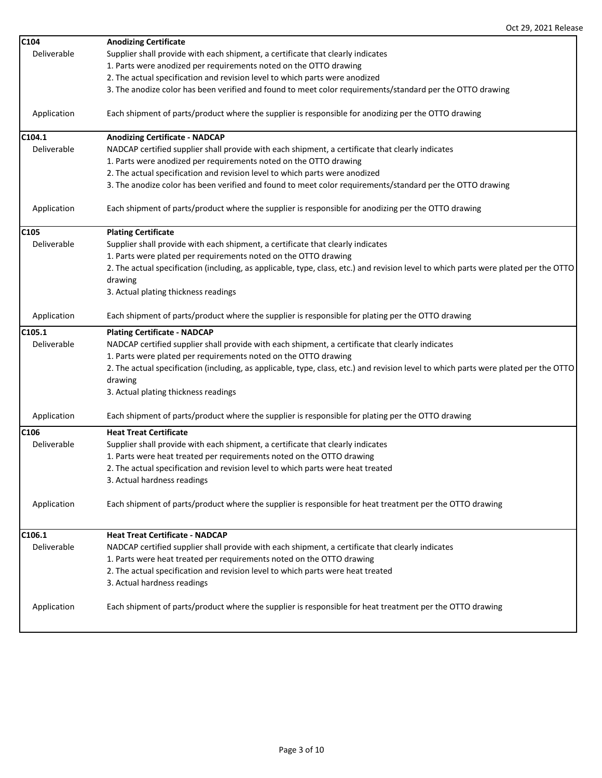| C104             | <b>Anodizing Certificate</b>                                                                                                         |  |
|------------------|--------------------------------------------------------------------------------------------------------------------------------------|--|
| Deliverable      | Supplier shall provide with each shipment, a certificate that clearly indicates                                                      |  |
|                  | 1. Parts were anodized per requirements noted on the OTTO drawing                                                                    |  |
|                  | 2. The actual specification and revision level to which parts were anodized                                                          |  |
|                  | 3. The anodize color has been verified and found to meet color requirements/standard per the OTTO drawing                            |  |
|                  |                                                                                                                                      |  |
| Application      | Each shipment of parts/product where the supplier is responsible for anodizing per the OTTO drawing                                  |  |
| C104.1           | <b>Anodizing Certificate - NADCAP</b>                                                                                                |  |
| Deliverable      | NADCAP certified supplier shall provide with each shipment, a certificate that clearly indicates                                     |  |
|                  | 1. Parts were anodized per requirements noted on the OTTO drawing                                                                    |  |
|                  | 2. The actual specification and revision level to which parts were anodized                                                          |  |
|                  | 3. The anodize color has been verified and found to meet color requirements/standard per the OTTO drawing                            |  |
| Application      | Each shipment of parts/product where the supplier is responsible for anodizing per the OTTO drawing                                  |  |
| C105             | <b>Plating Certificate</b>                                                                                                           |  |
| Deliverable      | Supplier shall provide with each shipment, a certificate that clearly indicates                                                      |  |
|                  | 1. Parts were plated per requirements noted on the OTTO drawing                                                                      |  |
|                  | 2. The actual specification (including, as applicable, type, class, etc.) and revision level to which parts were plated per the OTTO |  |
|                  | drawing                                                                                                                              |  |
|                  | 3. Actual plating thickness readings                                                                                                 |  |
| Application      | Each shipment of parts/product where the supplier is responsible for plating per the OTTO drawing                                    |  |
| C105.1           | <b>Plating Certificate - NADCAP</b>                                                                                                  |  |
| Deliverable      | NADCAP certified supplier shall provide with each shipment, a certificate that clearly indicates                                     |  |
|                  | 1. Parts were plated per requirements noted on the OTTO drawing                                                                      |  |
|                  | 2. The actual specification (including, as applicable, type, class, etc.) and revision level to which parts were plated per the OTTO |  |
|                  | drawing                                                                                                                              |  |
|                  | 3. Actual plating thickness readings                                                                                                 |  |
| Application      | Each shipment of parts/product where the supplier is responsible for plating per the OTTO drawing                                    |  |
| C <sub>106</sub> | <b>Heat Treat Certificate</b>                                                                                                        |  |
| Deliverable      | Supplier shall provide with each shipment, a certificate that clearly indicates                                                      |  |
|                  | 1. Parts were heat treated per requirements noted on the OTTO drawing                                                                |  |
|                  | 2. The actual specification and revision level to which parts were heat treated                                                      |  |
|                  | 3. Actual hardness readings                                                                                                          |  |
| Application      | Each shipment of parts/product where the supplier is responsible for heat treatment per the OTTO drawing                             |  |
| C106.1           | <b>Heat Treat Certificate - NADCAP</b>                                                                                               |  |
| Deliverable      | NADCAP certified supplier shall provide with each shipment, a certificate that clearly indicates                                     |  |
|                  | 1. Parts were heat treated per requirements noted on the OTTO drawing                                                                |  |
|                  | 2. The actual specification and revision level to which parts were heat treated                                                      |  |
|                  | 3. Actual hardness readings                                                                                                          |  |
| Application      | Each shipment of parts/product where the supplier is responsible for heat treatment per the OTTO drawing                             |  |
|                  |                                                                                                                                      |  |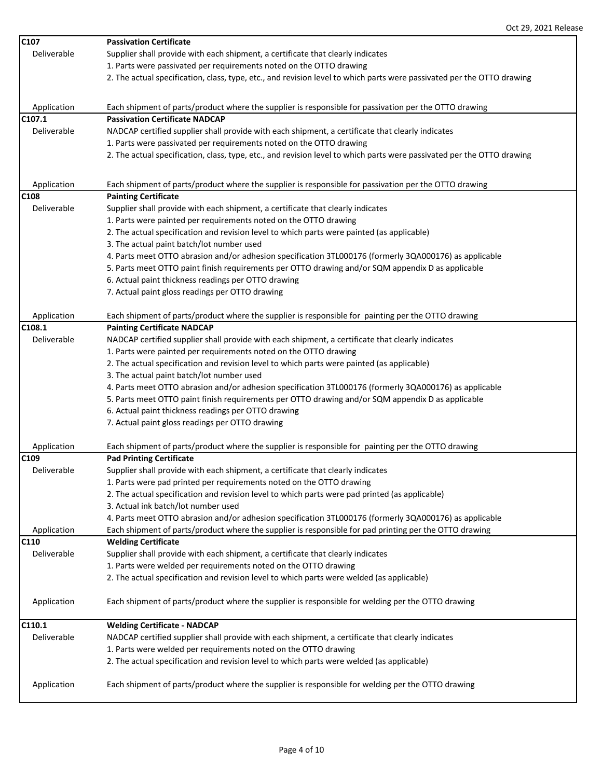| C107        | <b>Passivation Certificate</b>                                                                                         |
|-------------|------------------------------------------------------------------------------------------------------------------------|
| Deliverable | Supplier shall provide with each shipment, a certificate that clearly indicates                                        |
|             | 1. Parts were passivated per requirements noted on the OTTO drawing                                                    |
|             | 2. The actual specification, class, type, etc., and revision level to which parts were passivated per the OTTO drawing |
|             |                                                                                                                        |
| Application | Each shipment of parts/product where the supplier is responsible for passivation per the OTTO drawing                  |
| C107.1      | <b>Passivation Certificate NADCAP</b>                                                                                  |
| Deliverable | NADCAP certified supplier shall provide with each shipment, a certificate that clearly indicates                       |
|             | 1. Parts were passivated per requirements noted on the OTTO drawing                                                    |
|             | 2. The actual specification, class, type, etc., and revision level to which parts were passivated per the OTTO drawing |
|             |                                                                                                                        |
| Application | Each shipment of parts/product where the supplier is responsible for passivation per the OTTO drawing                  |
| C108        | <b>Painting Certificate</b>                                                                                            |
| Deliverable | Supplier shall provide with each shipment, a certificate that clearly indicates                                        |
|             | 1. Parts were painted per requirements noted on the OTTO drawing                                                       |
|             | 2. The actual specification and revision level to which parts were painted (as applicable)                             |
|             | 3. The actual paint batch/lot number used                                                                              |
|             | 4. Parts meet OTTO abrasion and/or adhesion specification 3TL000176 (formerly 3QA000176) as applicable                 |
|             | 5. Parts meet OTTO paint finish requirements per OTTO drawing and/or SQM appendix D as applicable                      |
|             | 6. Actual paint thickness readings per OTTO drawing                                                                    |
|             | 7. Actual paint gloss readings per OTTO drawing                                                                        |
|             |                                                                                                                        |
| Application | Each shipment of parts/product where the supplier is responsible for painting per the OTTO drawing                     |
| C108.1      | <b>Painting Certificate NADCAP</b>                                                                                     |
| Deliverable | NADCAP certified supplier shall provide with each shipment, a certificate that clearly indicates                       |
|             | 1. Parts were painted per requirements noted on the OTTO drawing                                                       |
|             | 2. The actual specification and revision level to which parts were painted (as applicable)                             |
|             | 3. The actual paint batch/lot number used                                                                              |
|             | 4. Parts meet OTTO abrasion and/or adhesion specification 3TL000176 (formerly 3QA000176) as applicable                 |
|             | 5. Parts meet OTTO paint finish requirements per OTTO drawing and/or SQM appendix D as applicable                      |
|             | 6. Actual paint thickness readings per OTTO drawing                                                                    |
|             | 7. Actual paint gloss readings per OTTO drawing                                                                        |
| Application | Each shipment of parts/product where the supplier is responsible for painting per the OTTO drawing                     |
| C109        | <b>Pad Printing Certificate</b>                                                                                        |
| Deliverable | Supplier shall provide with each shipment, a certificate that clearly indicates                                        |
|             | 1. Parts were pad printed per requirements noted on the OTTO drawing                                                   |
|             | 2. The actual specification and revision level to which parts were pad printed (as applicable)                         |
|             | 3. Actual ink batch/lot number used                                                                                    |
|             | 4. Parts meet OTTO abrasion and/or adhesion specification 3TL000176 (formerly 3QA000176) as applicable                 |
| Application | Each shipment of parts/product where the supplier is responsible for pad printing per the OTTO drawing                 |
| C110        | <b>Welding Certificate</b>                                                                                             |
| Deliverable | Supplier shall provide with each shipment, a certificate that clearly indicates                                        |
|             | 1. Parts were welded per requirements noted on the OTTO drawing                                                        |
|             | 2. The actual specification and revision level to which parts were welded (as applicable)                              |
| Application | Each shipment of parts/product where the supplier is responsible for welding per the OTTO drawing                      |
|             |                                                                                                                        |
| C110.1      | <b>Welding Certificate - NADCAP</b>                                                                                    |
| Deliverable | NADCAP certified supplier shall provide with each shipment, a certificate that clearly indicates                       |
|             | 1. Parts were welded per requirements noted on the OTTO drawing                                                        |
|             | 2. The actual specification and revision level to which parts were welded (as applicable)                              |
|             |                                                                                                                        |
| Application | Each shipment of parts/product where the supplier is responsible for welding per the OTTO drawing                      |
|             |                                                                                                                        |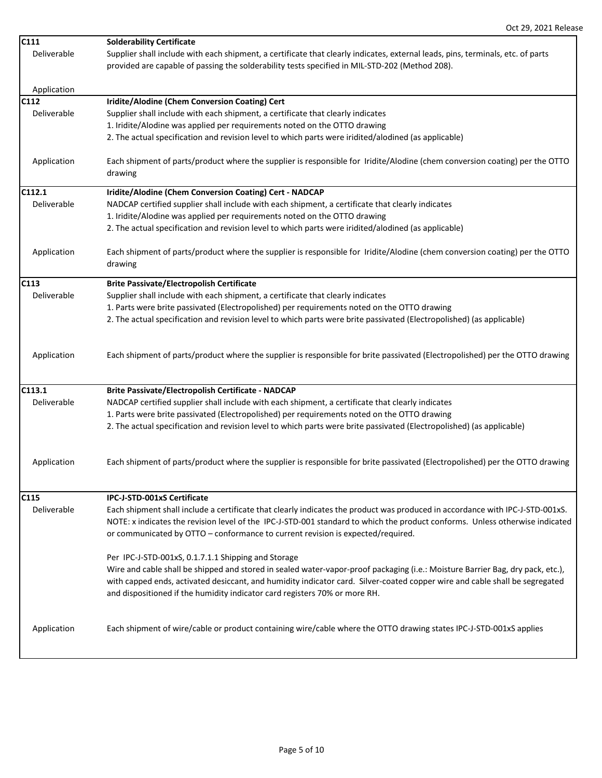| C111        | <b>Solderability Certificate</b>                                                                                                |
|-------------|---------------------------------------------------------------------------------------------------------------------------------|
| Deliverable | Supplier shall include with each shipment, a certificate that clearly indicates, external leads, pins, terminals, etc. of parts |
|             | provided are capable of passing the solderability tests specified in MIL-STD-202 (Method 208).                                  |
|             |                                                                                                                                 |
| Application |                                                                                                                                 |
| C112        | Iridite/Alodine (Chem Conversion Coating) Cert                                                                                  |
| Deliverable | Supplier shall include with each shipment, a certificate that clearly indicates                                                 |
|             |                                                                                                                                 |
|             | 1. Iridite/Alodine was applied per requirements noted on the OTTO drawing                                                       |
|             | 2. The actual specification and revision level to which parts were iridited/alodined (as applicable)                            |
|             |                                                                                                                                 |
| Application | Each shipment of parts/product where the supplier is responsible for Iridite/Alodine (chem conversion coating) per the OTTO     |
|             | drawing                                                                                                                         |
| C112.1      | Iridite/Alodine (Chem Conversion Coating) Cert - NADCAP                                                                         |
| Deliverable | NADCAP certified supplier shall include with each shipment, a certificate that clearly indicates                                |
|             | 1. Iridite/Alodine was applied per requirements noted on the OTTO drawing                                                       |
|             |                                                                                                                                 |
|             | 2. The actual specification and revision level to which parts were iridited/alodined (as applicable)                            |
| Application | Each shipment of parts/product where the supplier is responsible for Iridite/Alodine (chem conversion coating) per the OTTO     |
|             | drawing                                                                                                                         |
|             |                                                                                                                                 |
| C113        | <b>Brite Passivate/Electropolish Certificate</b>                                                                                |
| Deliverable | Supplier shall include with each shipment, a certificate that clearly indicates                                                 |
|             | 1. Parts were brite passivated (Electropolished) per requirements noted on the OTTO drawing                                     |
|             | 2. The actual specification and revision level to which parts were brite passivated (Electropolished) (as applicable)           |
|             |                                                                                                                                 |
|             |                                                                                                                                 |
| Application | Each shipment of parts/product where the supplier is responsible for brite passivated (Electropolished) per the OTTO drawing    |
|             |                                                                                                                                 |
|             |                                                                                                                                 |
| C113.1      | Brite Passivate/Electropolish Certificate - NADCAP                                                                              |
| Deliverable | NADCAP certified supplier shall include with each shipment, a certificate that clearly indicates                                |
|             | 1. Parts were brite passivated (Electropolished) per requirements noted on the OTTO drawing                                     |
|             | 2. The actual specification and revision level to which parts were brite passivated (Electropolished) (as applicable)           |
|             |                                                                                                                                 |
|             |                                                                                                                                 |
| Application | Each shipment of parts/product where the supplier is responsible for brite passivated (Electropolished) per the OTTO drawing    |
|             |                                                                                                                                 |
|             |                                                                                                                                 |
| C115        | IPC-J-STD-001xS Certificate                                                                                                     |
| Deliverable | Each shipment shall include a certificate that clearly indicates the product was produced in accordance with IPC-J-STD-001xS.   |
|             | NOTE: x indicates the revision level of the IPC-J-STD-001 standard to which the product conforms. Unless otherwise indicated    |
|             | or communicated by OTTO - conformance to current revision is expected/required.                                                 |
|             |                                                                                                                                 |
|             | Per IPC-J-STD-001xS, 0.1.7.1.1 Shipping and Storage                                                                             |
|             | Wire and cable shall be shipped and stored in sealed water-vapor-proof packaging (i.e.: Moisture Barrier Bag, dry pack, etc.),  |
|             | with capped ends, activated desiccant, and humidity indicator card. Silver-coated copper wire and cable shall be segregated     |
|             | and dispositioned if the humidity indicator card registers 70% or more RH.                                                      |
|             |                                                                                                                                 |
|             |                                                                                                                                 |
| Application | Each shipment of wire/cable or product containing wire/cable where the OTTO drawing states IPC-J-STD-001xS applies              |
|             |                                                                                                                                 |
|             |                                                                                                                                 |
|             |                                                                                                                                 |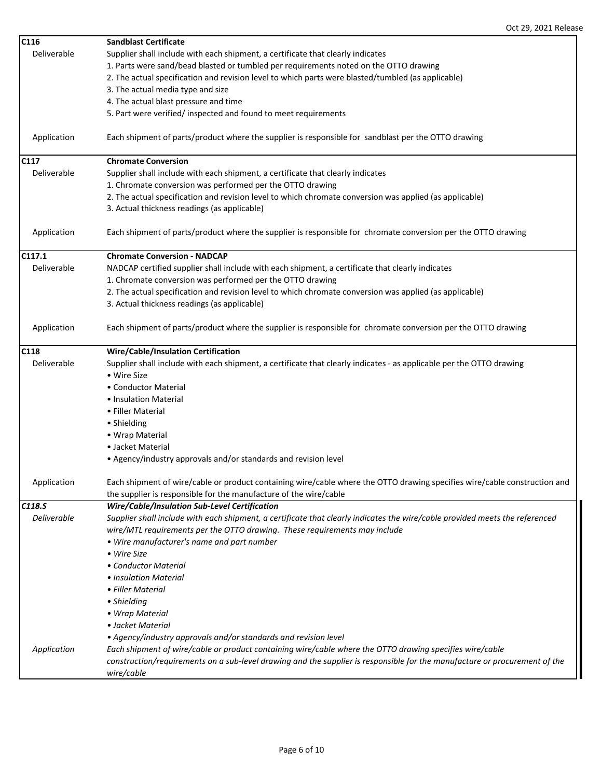| C116        | <b>Sandblast Certificate</b>                                                                                                 |
|-------------|------------------------------------------------------------------------------------------------------------------------------|
| Deliverable | Supplier shall include with each shipment, a certificate that clearly indicates                                              |
|             | 1. Parts were sand/bead blasted or tumbled per requirements noted on the OTTO drawing                                        |
|             | 2. The actual specification and revision level to which parts were blasted/tumbled (as applicable)                           |
|             | 3. The actual media type and size                                                                                            |
|             | 4. The actual blast pressure and time                                                                                        |
|             | 5. Part were verified/ inspected and found to meet requirements                                                              |
|             |                                                                                                                              |
| Application | Each shipment of parts/product where the supplier is responsible for sandblast per the OTTO drawing                          |
| C117        | <b>Chromate Conversion</b>                                                                                                   |
| Deliverable | Supplier shall include with each shipment, a certificate that clearly indicates                                              |
|             | 1. Chromate conversion was performed per the OTTO drawing                                                                    |
|             | 2. The actual specification and revision level to which chromate conversion was applied (as applicable)                      |
|             | 3. Actual thickness readings (as applicable)                                                                                 |
|             |                                                                                                                              |
| Application | Each shipment of parts/product where the supplier is responsible for chromate conversion per the OTTO drawing                |
| C117.1      | <b>Chromate Conversion - NADCAP</b>                                                                                          |
| Deliverable | NADCAP certified supplier shall include with each shipment, a certificate that clearly indicates                             |
|             | 1. Chromate conversion was performed per the OTTO drawing                                                                    |
|             | 2. The actual specification and revision level to which chromate conversion was applied (as applicable)                      |
|             | 3. Actual thickness readings (as applicable)                                                                                 |
|             |                                                                                                                              |
| Application | Each shipment of parts/product where the supplier is responsible for chromate conversion per the OTTO drawing                |
| C118        | Wire/Cable/Insulation Certification                                                                                          |
| Deliverable | Supplier shall include with each shipment, a certificate that clearly indicates - as applicable per the OTTO drawing         |
|             | • Wire Size                                                                                                                  |
|             | • Conductor Material                                                                                                         |
|             | • Insulation Material                                                                                                        |
|             | • Filler Material                                                                                                            |
|             | • Shielding                                                                                                                  |
|             | • Wrap Material                                                                                                              |
|             | • Jacket Material                                                                                                            |
|             | • Agency/industry approvals and/or standards and revision level                                                              |
|             |                                                                                                                              |
| Application | Each shipment of wire/cable or product containing wire/cable where the OTTO drawing specifies wire/cable construction and    |
|             | the supplier is responsible for the manufacture of the wire/cable                                                            |
| C118.S      | Wire/Cable/Insulation Sub-Level Certification                                                                                |
| Deliverable | Supplier shall include with each shipment, a certificate that clearly indicates the wire/cable provided meets the referenced |
|             | wire/MTL requirements per the OTTO drawing. These requirements may include                                                   |
|             | • Wire manufacturer's name and part number                                                                                   |
|             | • Wire Size                                                                                                                  |
|             | • Conductor Material                                                                                                         |
|             | • Insulation Material                                                                                                        |
|             | • Filler Material                                                                                                            |
|             |                                                                                                                              |
|             | • Shielding                                                                                                                  |
|             | • Wrap Material                                                                                                              |
|             | • Jacket Material                                                                                                            |
|             | • Agency/industry approvals and/or standards and revision level                                                              |
| Application | Each shipment of wire/cable or product containing wire/cable where the OTTO drawing specifies wire/cable                     |
|             | construction/requirements on a sub-level drawing and the supplier is responsible for the manufacture or procurement of the   |
|             | wire/cable                                                                                                                   |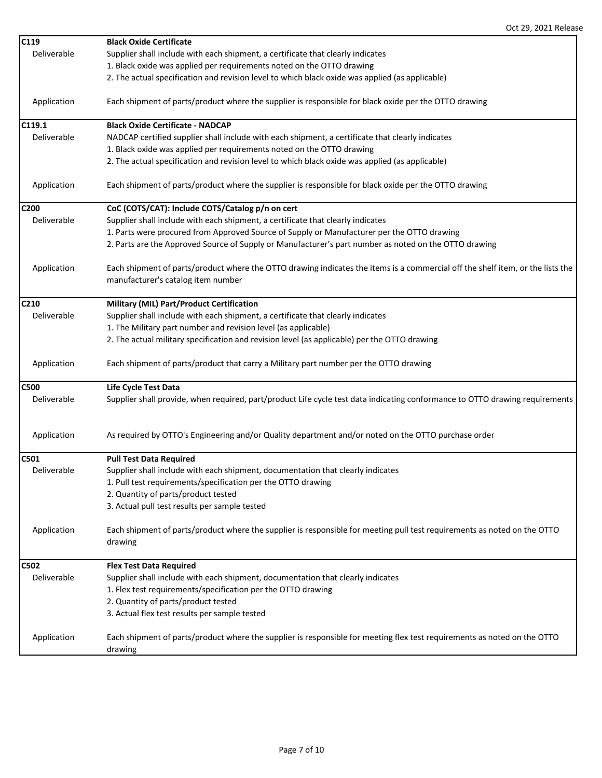| C119             | <b>Black Oxide Certificate</b>                                                                                                 |
|------------------|--------------------------------------------------------------------------------------------------------------------------------|
| Deliverable      | Supplier shall include with each shipment, a certificate that clearly indicates                                                |
|                  | 1. Black oxide was applied per requirements noted on the OTTO drawing                                                          |
|                  | 2. The actual specification and revision level to which black oxide was applied (as applicable)                                |
| Application      | Each shipment of parts/product where the supplier is responsible for black oxide per the OTTO drawing                          |
| C119.1           | <b>Black Oxide Certificate - NADCAP</b>                                                                                        |
| Deliverable      | NADCAP certified supplier shall include with each shipment, a certificate that clearly indicates                               |
|                  | 1. Black oxide was applied per requirements noted on the OTTO drawing                                                          |
|                  | 2. The actual specification and revision level to which black oxide was applied (as applicable)                                |
| Application      | Each shipment of parts/product where the supplier is responsible for black oxide per the OTTO drawing                          |
| C <sub>200</sub> | CoC (COTS/CAT): Include COTS/Catalog p/n on cert                                                                               |
| Deliverable      | Supplier shall include with each shipment, a certificate that clearly indicates                                                |
|                  | 1. Parts were procured from Approved Source of Supply or Manufacturer per the OTTO drawing                                     |
|                  | 2. Parts are the Approved Source of Supply or Manufacturer's part number as noted on the OTTO drawing                          |
| Application      | Each shipment of parts/product where the OTTO drawing indicates the items is a commercial off the shelf item, or the lists the |
|                  | manufacturer's catalog item number                                                                                             |
| C210             | Military (MIL) Part/Product Certification                                                                                      |
| Deliverable      | Supplier shall include with each shipment, a certificate that clearly indicates                                                |
|                  | 1. The Military part number and revision level (as applicable)                                                                 |
|                  | 2. The actual military specification and revision level (as applicable) per the OTTO drawing                                   |
| Application      | Each shipment of parts/product that carry a Military part number per the OTTO drawing                                          |
| <b>C500</b>      | Life Cycle Test Data                                                                                                           |
| Deliverable      | Supplier shall provide, when required, part/product Life cycle test data indicating conformance to OTTO drawing requirements   |
| Application      | As required by OTTO's Engineering and/or Quality department and/or noted on the OTTO purchase order                            |
| C501             | <b>Pull Test Data Required</b>                                                                                                 |
| Deliverable      | Supplier shall include with each shipment, documentation that clearly indicates                                                |
|                  | 1. Pull test requirements/specification per the OTTO drawing                                                                   |
|                  | 2. Quantity of parts/product tested                                                                                            |
|                  | 3. Actual pull test results per sample tested                                                                                  |
| Application      | Each shipment of parts/product where the supplier is responsible for meeting pull test requirements as noted on the OTTO       |
|                  | drawing                                                                                                                        |
| C502             | <b>Flex Test Data Required</b>                                                                                                 |
| Deliverable      | Supplier shall include with each shipment, documentation that clearly indicates                                                |
|                  | 1. Flex test requirements/specification per the OTTO drawing                                                                   |
|                  | 2. Quantity of parts/product tested                                                                                            |
|                  | 3. Actual flex test results per sample tested                                                                                  |
| Application      | Each shipment of parts/product where the supplier is responsible for meeting flex test requirements as noted on the OTTO       |
|                  | drawing                                                                                                                        |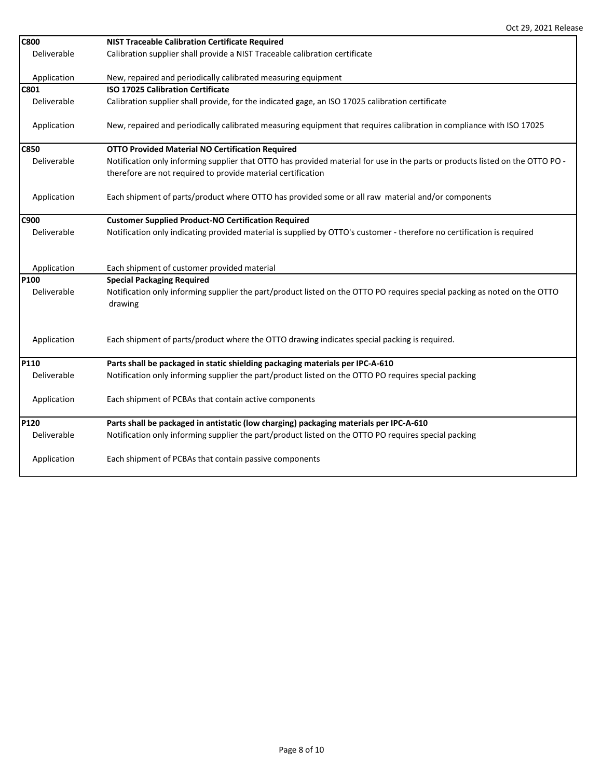| <b>C800</b> | <b>NIST Traceable Calibration Certificate Required</b>                                                                        |
|-------------|-------------------------------------------------------------------------------------------------------------------------------|
| Deliverable | Calibration supplier shall provide a NIST Traceable calibration certificate                                                   |
|             |                                                                                                                               |
| Application | New, repaired and periodically calibrated measuring equipment                                                                 |
| <b>C801</b> | <b>ISO 17025 Calibration Certificate</b>                                                                                      |
| Deliverable | Calibration supplier shall provide, for the indicated gage, an ISO 17025 calibration certificate                              |
| Application | New, repaired and periodically calibrated measuring equipment that requires calibration in compliance with ISO 17025          |
| <b>C850</b> | <b>OTTO Provided Material NO Certification Required</b>                                                                       |
| Deliverable | Notification only informing supplier that OTTO has provided material for use in the parts or products listed on the OTTO PO - |
|             | therefore are not required to provide material certification                                                                  |
|             |                                                                                                                               |
| Application | Each shipment of parts/product where OTTO has provided some or all raw material and/or components                             |
|             |                                                                                                                               |
| C900        | <b>Customer Supplied Product-NO Certification Required</b>                                                                    |
| Deliverable | Notification only indicating provided material is supplied by OTTO's customer - therefore no certification is required        |
|             |                                                                                                                               |
|             |                                                                                                                               |
| Application | Each shipment of customer provided material                                                                                   |
| P100        | <b>Special Packaging Required</b>                                                                                             |
| Deliverable | Notification only informing supplier the part/product listed on the OTTO PO requires special packing as noted on the OTTO     |
|             | drawing                                                                                                                       |
|             |                                                                                                                               |
|             |                                                                                                                               |
| Application | Each shipment of parts/product where the OTTO drawing indicates special packing is required.                                  |
|             |                                                                                                                               |
| P110        | Parts shall be packaged in static shielding packaging materials per IPC-A-610                                                 |
| Deliverable | Notification only informing supplier the part/product listed on the OTTO PO requires special packing                          |
|             |                                                                                                                               |
| Application | Each shipment of PCBAs that contain active components                                                                         |
|             |                                                                                                                               |
| P120        | Parts shall be packaged in antistatic (low charging) packaging materials per IPC-A-610                                        |
| Deliverable | Notification only informing supplier the part/product listed on the OTTO PO requires special packing                          |
|             |                                                                                                                               |
| Application | Each shipment of PCBAs that contain passive components                                                                        |
|             |                                                                                                                               |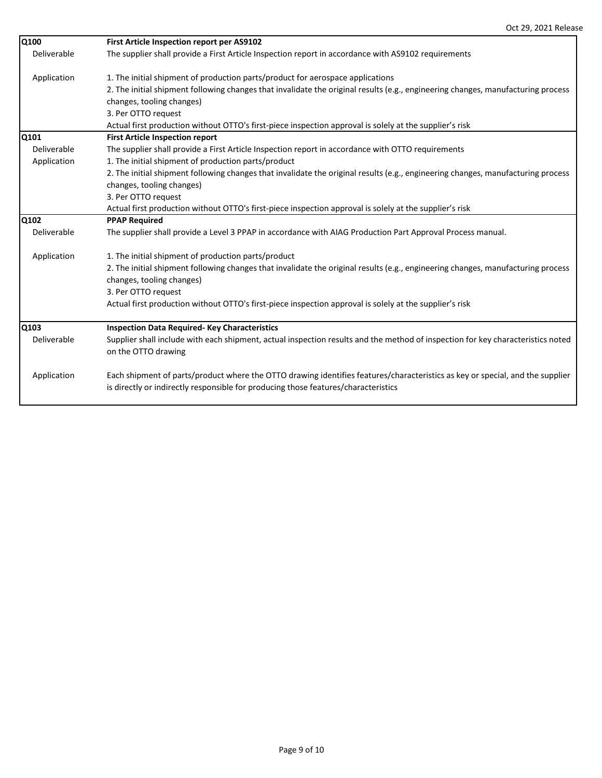| Q100        | First Article Inspection report per AS9102                                                                                                                                                                          |
|-------------|---------------------------------------------------------------------------------------------------------------------------------------------------------------------------------------------------------------------|
| Deliverable | The supplier shall provide a First Article Inspection report in accordance with AS9102 requirements                                                                                                                 |
| Application | 1. The initial shipment of production parts/product for aerospace applications                                                                                                                                      |
|             | 2. The initial shipment following changes that invalidate the original results (e.g., engineering changes, manufacturing process                                                                                    |
|             | changes, tooling changes)                                                                                                                                                                                           |
|             | 3. Per OTTO request                                                                                                                                                                                                 |
|             | Actual first production without OTTO's first-piece inspection approval is solely at the supplier's risk                                                                                                             |
| Q101        | <b>First Article Inspection report</b>                                                                                                                                                                              |
| Deliverable | The supplier shall provide a First Article Inspection report in accordance with OTTO requirements                                                                                                                   |
| Application | 1. The initial shipment of production parts/product                                                                                                                                                                 |
|             | 2. The initial shipment following changes that invalidate the original results (e.g., engineering changes, manufacturing process                                                                                    |
|             | changes, tooling changes)                                                                                                                                                                                           |
|             | 3. Per OTTO request                                                                                                                                                                                                 |
|             | Actual first production without OTTO's first-piece inspection approval is solely at the supplier's risk                                                                                                             |
| Q102        | <b>PPAP Required</b>                                                                                                                                                                                                |
| Deliverable | The supplier shall provide a Level 3 PPAP in accordance with AIAG Production Part Approval Process manual.                                                                                                          |
| Application | 1. The initial shipment of production parts/product                                                                                                                                                                 |
|             | 2. The initial shipment following changes that invalidate the original results (e.g., engineering changes, manufacturing process<br>changes, tooling changes)                                                       |
|             | 3. Per OTTO request                                                                                                                                                                                                 |
|             | Actual first production without OTTO's first-piece inspection approval is solely at the supplier's risk                                                                                                             |
| Q103        | <b>Inspection Data Required-Key Characteristics</b>                                                                                                                                                                 |
| Deliverable | Supplier shall include with each shipment, actual inspection results and the method of inspection for key characteristics noted<br>on the OTTO drawing                                                              |
| Application | Each shipment of parts/product where the OTTO drawing identifies features/characteristics as key or special, and the supplier<br>is directly or indirectly responsible for producing those features/characteristics |

 $\overline{\phantom{a}}$